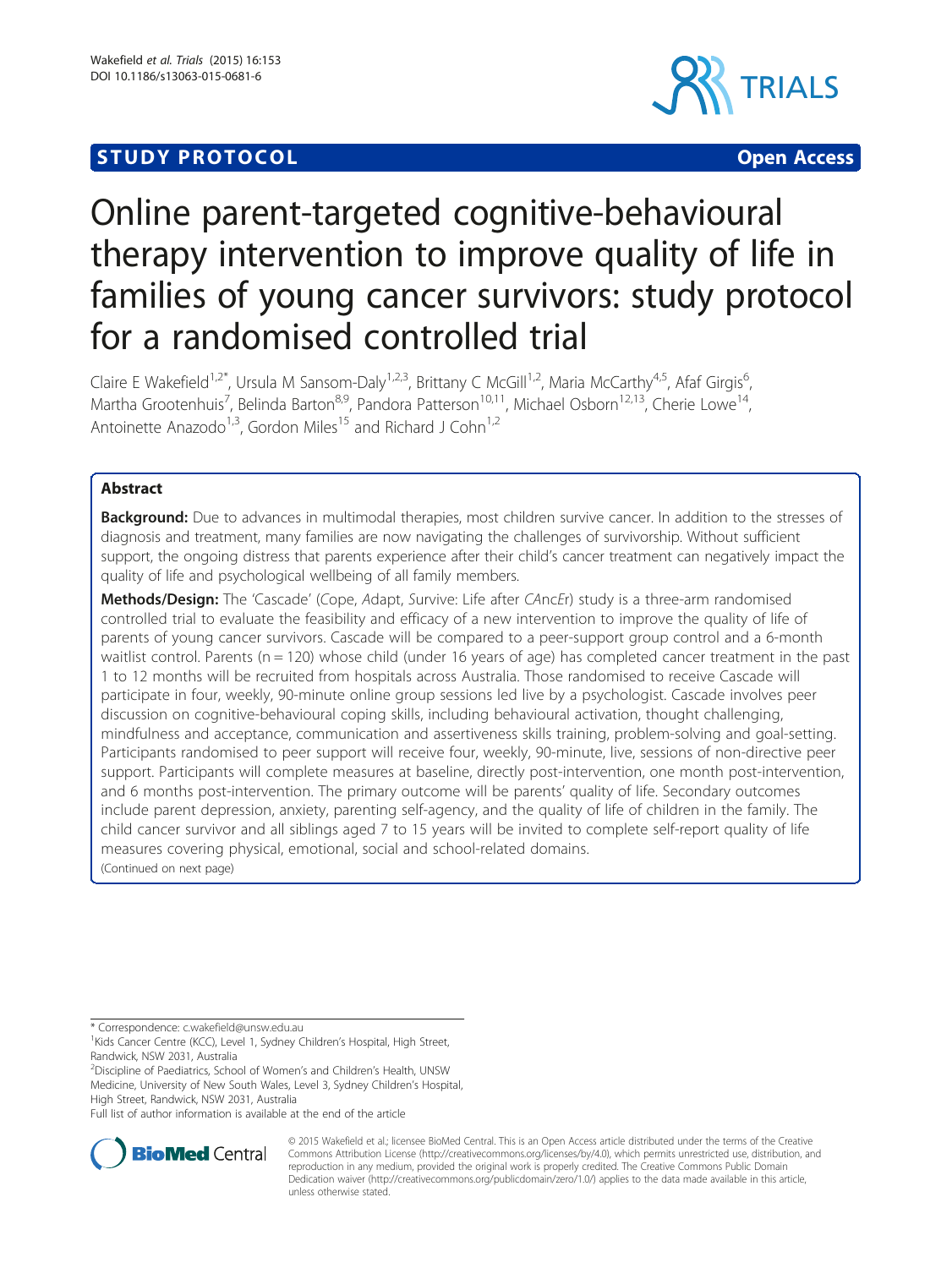## **STUDY PROTOCOL CONSUMING THE CONSUMING OPEN ACCESS**



# Online parent-targeted cognitive-behavioural therapy intervention to improve quality of life in families of young cancer survivors: study protocol for a randomised controlled trial

Claire E Wakefield<sup>1,2\*</sup>, Ursula M Sansom-Daly<sup>1,2,3</sup>, Brittany C McGill<sup>1,2</sup>, Maria McCarthy<sup>4,5</sup>, Afaf Girgis<sup>6</sup> , Martha Grootenhuis<sup>7</sup>, Belinda Barton<sup>8,9</sup>, Pandora Patterson<sup>10,11</sup>, Michael Osborn<sup>12,13</sup>, Cherie Lowe<sup>14</sup>, Antoinette Anazodo<sup>1,3</sup>, Gordon Miles<sup>15</sup> and Richard J Cohn<sup>1,2</sup>

## Abstract

**Background:** Due to advances in multimodal therapies, most children survive cancer. In addition to the stresses of diagnosis and treatment, many families are now navigating the challenges of survivorship. Without sufficient support, the ongoing distress that parents experience after their child's cancer treatment can negatively impact the quality of life and psychological wellbeing of all family members.

Methods/Design: The 'Cascade' (Cope, Adapt, Survive: Life after CAncEr) study is a three-arm randomised controlled trial to evaluate the feasibility and efficacy of a new intervention to improve the quality of life of parents of young cancer survivors. Cascade will be compared to a peer-support group control and a 6-month waitlist control. Parents ( $n = 120$ ) whose child (under 16 years of age) has completed cancer treatment in the past 1 to 12 months will be recruited from hospitals across Australia. Those randomised to receive Cascade will participate in four, weekly, 90-minute online group sessions led live by a psychologist. Cascade involves peer discussion on cognitive-behavioural coping skills, including behavioural activation, thought challenging, mindfulness and acceptance, communication and assertiveness skills training, problem-solving and goal-setting. Participants randomised to peer support will receive four, weekly, 90-minute, live, sessions of non-directive peer support. Participants will complete measures at baseline, directly post-intervention, one month post-intervention, and 6 months post-intervention. The primary outcome will be parents' quality of life. Secondary outcomes include parent depression, anxiety, parenting self-agency, and the quality of life of children in the family. The child cancer survivor and all siblings aged 7 to 15 years will be invited to complete self-report quality of life measures covering physical, emotional, social and school-related domains. (Continued on next page)

\* Correspondence: [c.wakefield@unsw.edu.au](mailto:c.wakefield@unsw.edu.au) <sup>1</sup>

<sup>1</sup>Kids Cancer Centre (KCC), Level 1, Sydney Children's Hospital, High Street, Randwick, NSW 2031, Australia

<sup>2</sup>Discipline of Paediatrics, School of Women's and Children's Health, UNSW Medicine, University of New South Wales, Level 3, Sydney Children's Hospital, High Street, Randwick, NSW 2031, Australia

Full list of author information is available at the end of the article



© 2015 Wakefield et al.; licensee BioMed Central. This is an Open Access article distributed under the terms of the Creative Commons Attribution License [\(http://creativecommons.org/licenses/by/4.0\)](http://creativecommons.org/licenses/by/4.0), which permits unrestricted use, distribution, and reproduction in any medium, provided the original work is properly credited. The Creative Commons Public Domain Dedication waiver [\(http://creativecommons.org/publicdomain/zero/1.0/](http://creativecommons.org/publicdomain/zero/1.0/)) applies to the data made available in this article, unless otherwise stated.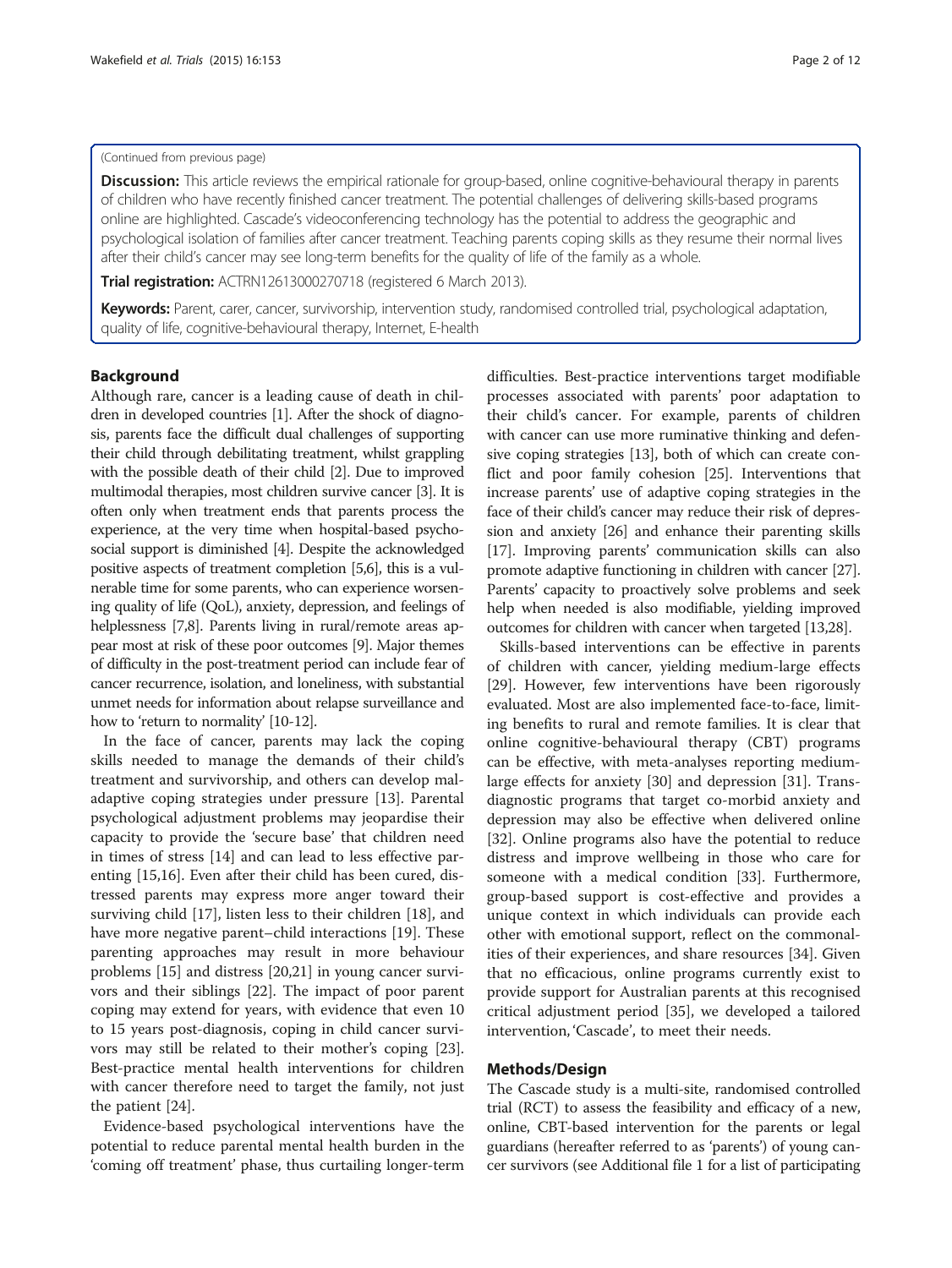#### (Continued from previous page)

Discussion: This article reviews the empirical rationale for group-based, online cognitive-behavioural therapy in parents of children who have recently finished cancer treatment. The potential challenges of delivering skills-based programs online are highlighted. Cascade's videoconferencing technology has the potential to address the geographic and psychological isolation of families after cancer treatment. Teaching parents coping skills as they resume their normal lives after their child's cancer may see long-term benefits for the quality of life of the family as a whole.

**Trial registration:** [ACTRN12613000270718](https://www.anzctr.org.au/Trial/Registration/TrialReview.aspx?ACTRN=12613000270718) (registered 6 March 2013).

Keywords: Parent, carer, cancer, survivorship, intervention study, randomised controlled trial, psychological adaptation, quality of life, cognitive-behavioural therapy, Internet, E-health

#### Background

Although rare, cancer is a leading cause of death in children in developed countries [\[1\]](#page-10-0). After the shock of diagnosis, parents face the difficult dual challenges of supporting their child through debilitating treatment, whilst grappling with the possible death of their child [\[2](#page-10-0)]. Due to improved multimodal therapies, most children survive cancer [\[3\]](#page-10-0). It is often only when treatment ends that parents process the experience, at the very time when hospital-based psychosocial support is diminished [\[4\]](#page-10-0). Despite the acknowledged positive aspects of treatment completion [[5,6](#page-10-0)], this is a vulnerable time for some parents, who can experience worsening quality of life (QoL), anxiety, depression, and feelings of helplessness [[7,8](#page-10-0)]. Parents living in rural/remote areas appear most at risk of these poor outcomes [\[9](#page-10-0)]. Major themes of difficulty in the post-treatment period can include fear of cancer recurrence, isolation, and loneliness, with substantial unmet needs for information about relapse surveillance and how to 'return to normality' [\[10-12](#page-10-0)].

In the face of cancer, parents may lack the coping skills needed to manage the demands of their child's treatment and survivorship, and others can develop maladaptive coping strategies under pressure [[13\]](#page-10-0). Parental psychological adjustment problems may jeopardise their capacity to provide the 'secure base' that children need in times of stress [\[14](#page-10-0)] and can lead to less effective parenting [[15](#page-10-0),[16](#page-10-0)]. Even after their child has been cured, distressed parents may express more anger toward their surviving child [\[17](#page-10-0)], listen less to their children [\[18](#page-10-0)], and have more negative parent–child interactions [\[19](#page-10-0)]. These parenting approaches may result in more behaviour problems [[15\]](#page-10-0) and distress [[20,21\]](#page-10-0) in young cancer survivors and their siblings [[22\]](#page-10-0). The impact of poor parent coping may extend for years, with evidence that even 10 to 15 years post-diagnosis, coping in child cancer survivors may still be related to their mother's coping [\[23](#page-10-0)]. Best-practice mental health interventions for children with cancer therefore need to target the family, not just the patient [[24\]](#page-10-0).

Evidence-based psychological interventions have the potential to reduce parental mental health burden in the 'coming off treatment' phase, thus curtailing longer-term difficulties. Best-practice interventions target modifiable processes associated with parents' poor adaptation to their child's cancer. For example, parents of children with cancer can use more ruminative thinking and defensive coping strategies [\[13\]](#page-10-0), both of which can create conflict and poor family cohesion [[25](#page-10-0)]. Interventions that increase parents' use of adaptive coping strategies in the face of their child's cancer may reduce their risk of depression and anxiety [\[26\]](#page-10-0) and enhance their parenting skills [[17](#page-10-0)]. Improving parents' communication skills can also promote adaptive functioning in children with cancer [[27](#page-10-0)]. Parents' capacity to proactively solve problems and seek help when needed is also modifiable, yielding improved outcomes for children with cancer when targeted [[13,28\]](#page-10-0).

Skills-based interventions can be effective in parents of children with cancer, yielding medium-large effects [[29\]](#page-10-0). However, few interventions have been rigorously evaluated. Most are also implemented face-to-face, limiting benefits to rural and remote families. It is clear that online cognitive-behavioural therapy (CBT) programs can be effective, with meta-analyses reporting mediumlarge effects for anxiety [[30\]](#page-10-0) and depression [[31](#page-10-0)]. Transdiagnostic programs that target co-morbid anxiety and depression may also be effective when delivered online [[32\]](#page-10-0). Online programs also have the potential to reduce distress and improve wellbeing in those who care for someone with a medical condition [[33\]](#page-10-0). Furthermore, group-based support is cost-effective and provides a unique context in which individuals can provide each other with emotional support, reflect on the commonalities of their experiences, and share resources [\[34](#page-10-0)]. Given that no efficacious, online programs currently exist to provide support for Australian parents at this recognised critical adjustment period [\[35](#page-10-0)], we developed a tailored intervention, 'Cascade', to meet their needs.

#### Methods/Design

The Cascade study is a multi-site, randomised controlled trial (RCT) to assess the feasibility and efficacy of a new, online, CBT-based intervention for the parents or legal guardians (hereafter referred to as 'parents') of young cancer survivors (see Additional file [1](#page-9-0) for a list of participating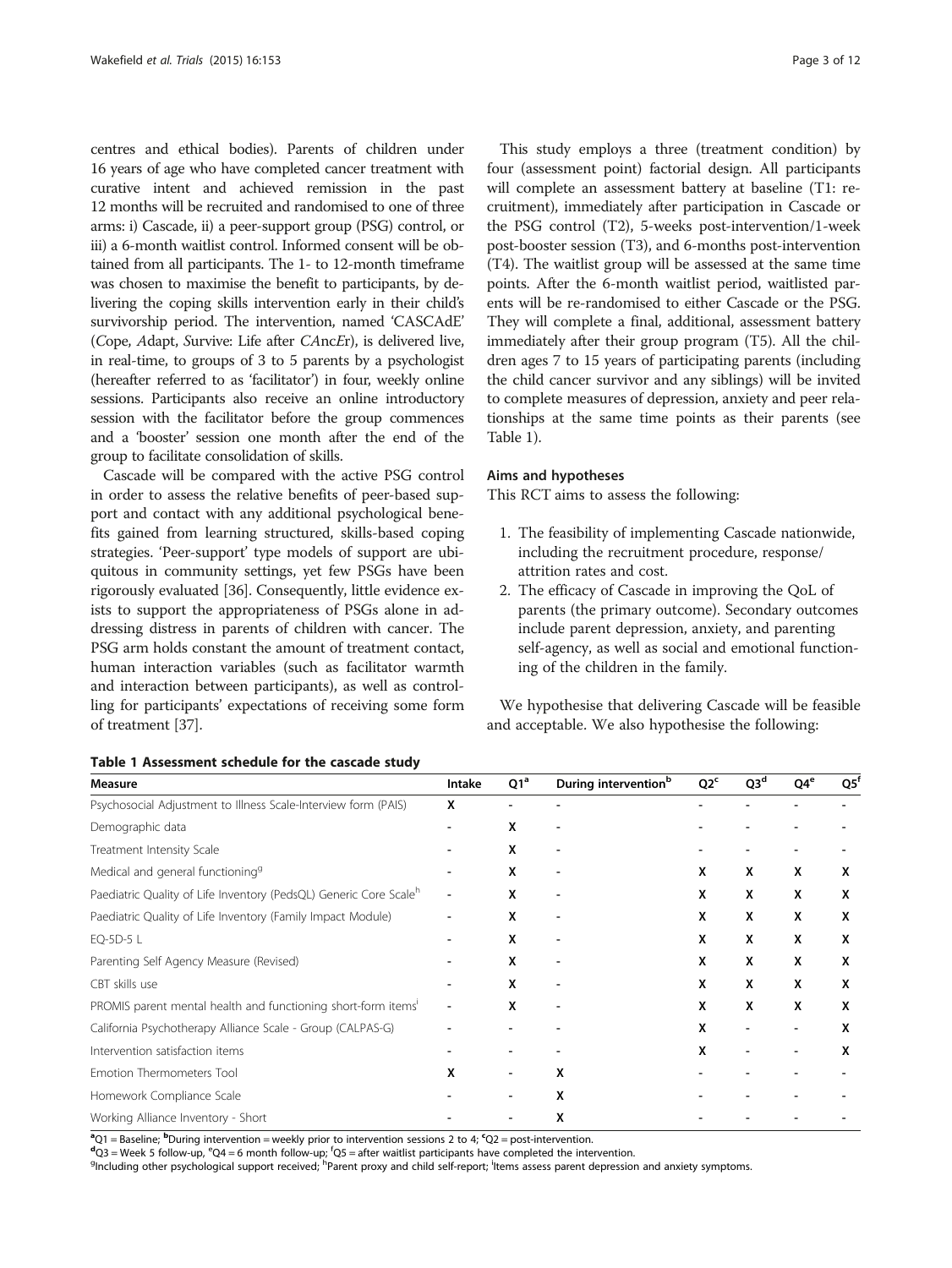<span id="page-2-0"></span>centres and ethical bodies). Parents of children under 16 years of age who have completed cancer treatment with curative intent and achieved remission in the past 12 months will be recruited and randomised to one of three arms: i) Cascade, ii) a peer-support group (PSG) control, or iii) a 6-month waitlist control. Informed consent will be obtained from all participants. The 1- to 12-month timeframe was chosen to maximise the benefit to participants, by delivering the coping skills intervention early in their child's survivorship period. The intervention, named 'CASCAdE' (Cope, Adapt, Survive: Life after CAncEr), is delivered live, in real-time, to groups of 3 to 5 parents by a psychologist (hereafter referred to as 'facilitator') in four, weekly online sessions. Participants also receive an online introductory session with the facilitator before the group commences and a 'booster' session one month after the end of the group to facilitate consolidation of skills.

Cascade will be compared with the active PSG control in order to assess the relative benefits of peer-based support and contact with any additional psychological benefits gained from learning structured, skills-based coping strategies. 'Peer-support' type models of support are ubiquitous in community settings, yet few PSGs have been rigorously evaluated [[36\]](#page-10-0). Consequently, little evidence exists to support the appropriateness of PSGs alone in addressing distress in parents of children with cancer. The PSG arm holds constant the amount of treatment contact, human interaction variables (such as facilitator warmth and interaction between participants), as well as controlling for participants' expectations of receiving some form of treatment [\[37\]](#page-10-0).

This study employs a three (treatment condition) by four (assessment point) factorial design. All participants will complete an assessment battery at baseline (T1: recruitment), immediately after participation in Cascade or the PSG control (T2), 5-weeks post-intervention/1-week post-booster session (T3), and 6-months post-intervention (T4). The waitlist group will be assessed at the same time points. After the 6-month waitlist period, waitlisted parents will be re-randomised to either Cascade or the PSG. They will complete a final, additional, assessment battery immediately after their group program (T5). All the children ages 7 to 15 years of participating parents (including the child cancer survivor and any siblings) will be invited to complete measures of depression, anxiety and peer relationships at the same time points as their parents (see Table 1).

#### Aims and hypotheses

This RCT aims to assess the following:

- 1. The feasibility of implementing Cascade nationwide, including the recruitment procedure, response/ attrition rates and cost.
- 2. The efficacy of Cascade in improving the QoL of parents (the primary outcome). Secondary outcomes include parent depression, anxiety, and parenting self-agency, as well as social and emotional functioning of the children in the family.

We hypothesise that delivering Cascade will be feasible and acceptable. We also hypothesise the following:

| Measure                                                                       | Intake | Q1 <sup>a</sup> | During intervention <sup>b</sup> | Q2 <sup>c</sup> | Q3 <sup>d</sup> | Q4 <sup>e</sup> | $Q5^{\dagger}$ |
|-------------------------------------------------------------------------------|--------|-----------------|----------------------------------|-----------------|-----------------|-----------------|----------------|
| Psychosocial Adjustment to Illness Scale-Interview form (PAIS)                |        |                 |                                  |                 |                 |                 |                |
| Demographic data                                                              |        | X               |                                  |                 |                 |                 |                |
| Treatment Intensity Scale                                                     |        | х               |                                  |                 |                 |                 |                |
| Medical and general functioning <sup>9</sup>                                  |        | x               |                                  | X               | X               | x               | х              |
| Paediatric Quality of Life Inventory (PedsQL) Generic Core Scale <sup>h</sup> |        | x               |                                  | X               | X               | x               | х              |
| Paediatric Quality of Life Inventory (Family Impact Module)                   |        | x               |                                  | X               | X               | x               | X              |
| EQ-5D-5 L                                                                     |        | х               |                                  | x               | x               | x               | х              |
| Parenting Self Agency Measure (Revised)                                       |        | x               |                                  | X               | x               | x               | x              |
| CBT skills use                                                                |        | X               |                                  | X               | X               | x               | x              |
| PROMIS parent mental health and functioning short-form items'                 |        | x               |                                  | X               | X               | x               | x              |
| California Psychotherapy Alliance Scale - Group (CALPAS-G)                    |        |                 |                                  | x               |                 |                 | х              |
| Intervention satisfaction items                                               |        |                 |                                  | x               |                 |                 | x              |
| Emotion Thermometers Tool                                                     |        |                 | x                                |                 |                 |                 |                |
| Homework Compliance Scale                                                     |        |                 | x                                |                 |                 |                 |                |
| Working Alliance Inventory - Short                                            |        |                 | x                                |                 |                 |                 |                |

Table 1 Assessment schedule for the cascade study

 ${}^{a}$ Q1 = Baseline;  ${}^{b}$ During intervention = weekly prior to intervention sessions 2 to 4;  ${}^{c}$ Q2 = post-intervention.<br> ${}^{d}$ O2 = Mook 5 follow up  ${}^{c}$ O4 = 6 month follow up  ${}^{f}$ O5 = after vaitliet participants

 $d_{\text{Q3}} = \text{Week 5 follow-up, } ^e\text{Q4} = 6 \text{ month follow-up; } ^t\text{Q5} = \text{after waitist participants have completed the intervention.}$ 

Including other psychological support received; <sup>h</sup>Parent proxy and child self-report; <sup>i</sup>ltems assess parent depression and anxiety symptoms.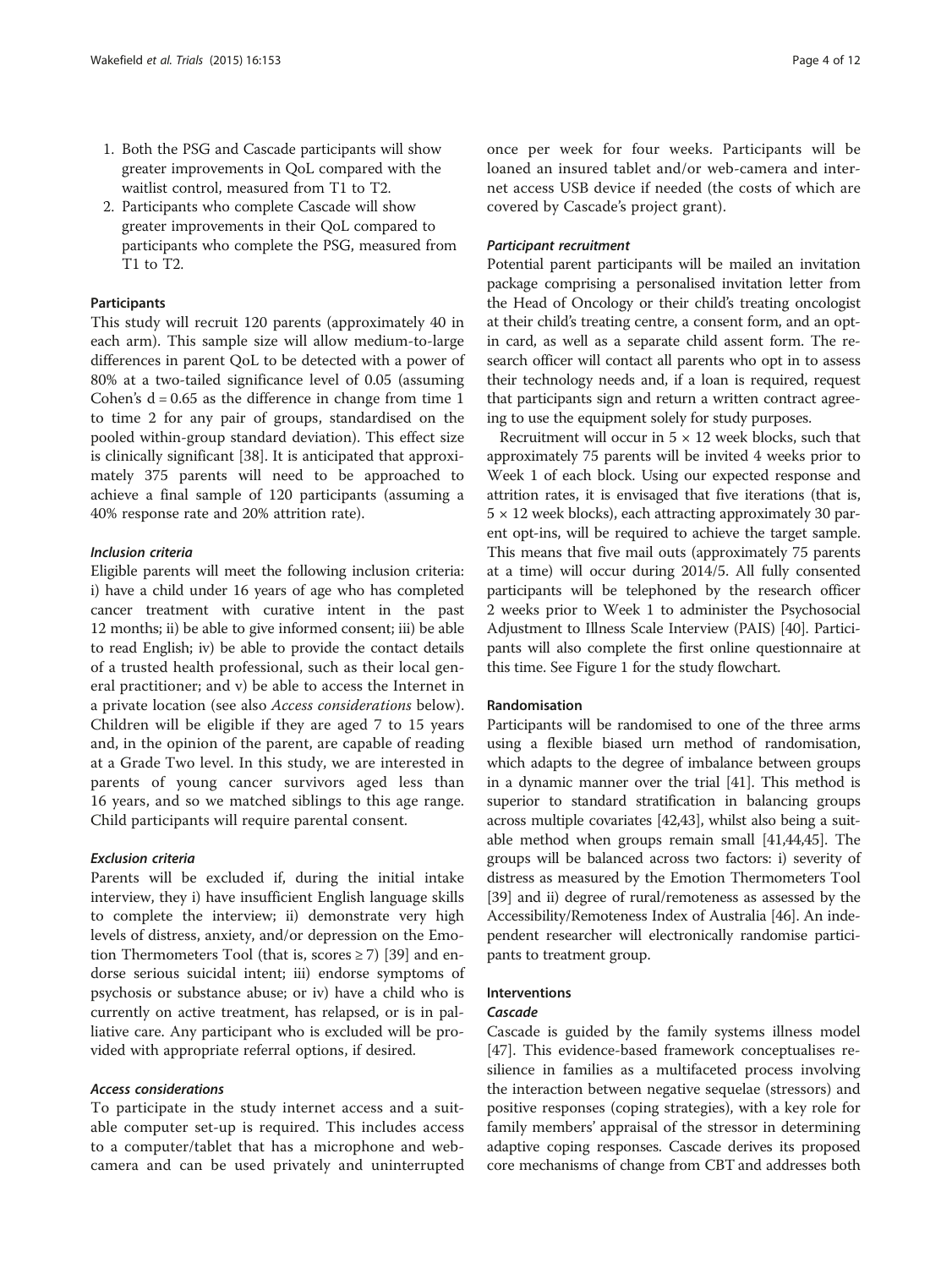- 1. Both the PSG and Cascade participants will show greater improvements in QoL compared with the waitlist control, measured from T1 to T2.
- 2. Participants who complete Cascade will show greater improvements in their QoL compared to participants who complete the PSG, measured from T1 to T2.

#### **Participants**

This study will recruit 120 parents (approximately 40 in each arm). This sample size will allow medium-to-large differences in parent QoL to be detected with a power of 80% at a two-tailed significance level of 0.05 (assuming Cohen's  $d = 0.65$  as the difference in change from time 1 to time 2 for any pair of groups, standardised on the pooled within-group standard deviation). This effect size is clinically significant [[38](#page-10-0)]. It is anticipated that approximately 375 parents will need to be approached to achieve a final sample of 120 participants (assuming a 40% response rate and 20% attrition rate).

#### Inclusion criteria

Eligible parents will meet the following inclusion criteria: i) have a child under 16 years of age who has completed cancer treatment with curative intent in the past 12 months; ii) be able to give informed consent; iii) be able to read English; iv) be able to provide the contact details of a trusted health professional, such as their local general practitioner; and v) be able to access the Internet in a private location (see also Access considerations below). Children will be eligible if they are aged 7 to 15 years and, in the opinion of the parent, are capable of reading at a Grade Two level. In this study, we are interested in parents of young cancer survivors aged less than 16 years, and so we matched siblings to this age range. Child participants will require parental consent.

#### Exclusion criteria

Parents will be excluded if, during the initial intake interview, they i) have insufficient English language skills to complete the interview; ii) demonstrate very high levels of distress, anxiety, and/or depression on the Emotion Thermometers Tool (that is, scores  $\geq$  7) [\[39](#page-10-0)] and endorse serious suicidal intent; iii) endorse symptoms of psychosis or substance abuse; or iv) have a child who is currently on active treatment, has relapsed, or is in palliative care. Any participant who is excluded will be provided with appropriate referral options, if desired.

#### Access considerations

To participate in the study internet access and a suitable computer set-up is required. This includes access to a computer/tablet that has a microphone and webcamera and can be used privately and uninterrupted once per week for four weeks. Participants will be loaned an insured tablet and/or web-camera and internet access USB device if needed (the costs of which are covered by Cascade's project grant).

#### Participant recruitment

Potential parent participants will be mailed an invitation package comprising a personalised invitation letter from the Head of Oncology or their child's treating oncologist at their child's treating centre, a consent form, and an optin card, as well as a separate child assent form. The research officer will contact all parents who opt in to assess their technology needs and, if a loan is required, request that participants sign and return a written contract agreeing to use the equipment solely for study purposes.

Recruitment will occur in  $5 \times 12$  week blocks, such that approximately 75 parents will be invited 4 weeks prior to Week 1 of each block. Using our expected response and attrition rates, it is envisaged that five iterations (that is,  $5 \times 12$  week blocks), each attracting approximately 30 parent opt-ins, will be required to achieve the target sample. This means that five mail outs (approximately 75 parents at a time) will occur during 2014/5. All fully consented participants will be telephoned by the research officer 2 weeks prior to Week 1 to administer the Psychosocial Adjustment to Illness Scale Interview (PAIS) [\[40](#page-10-0)]. Participants will also complete the first online questionnaire at this time. See Figure [1](#page-4-0) for the study flowchart.

#### Randomisation

Participants will be randomised to one of the three arms using a flexible biased urn method of randomisation, which adapts to the degree of imbalance between groups in a dynamic manner over the trial [[41](#page-10-0)]. This method is superior to standard stratification in balancing groups across multiple covariates [\[42,43](#page-11-0)], whilst also being a suitable method when groups remain small [\[41,](#page-10-0)[44,45\]](#page-11-0). The groups will be balanced across two factors: i) severity of distress as measured by the Emotion Thermometers Tool [[39](#page-10-0)] and ii) degree of rural/remoteness as assessed by the Accessibility/Remoteness Index of Australia [\[46](#page-11-0)]. An independent researcher will electronically randomise participants to treatment group.

#### Interventions

#### Cascade

Cascade is guided by the family systems illness model [[47\]](#page-11-0). This evidence-based framework conceptualises resilience in families as a multifaceted process involving the interaction between negative sequelae (stressors) and positive responses (coping strategies), with a key role for family members' appraisal of the stressor in determining adaptive coping responses. Cascade derives its proposed core mechanisms of change from CBT and addresses both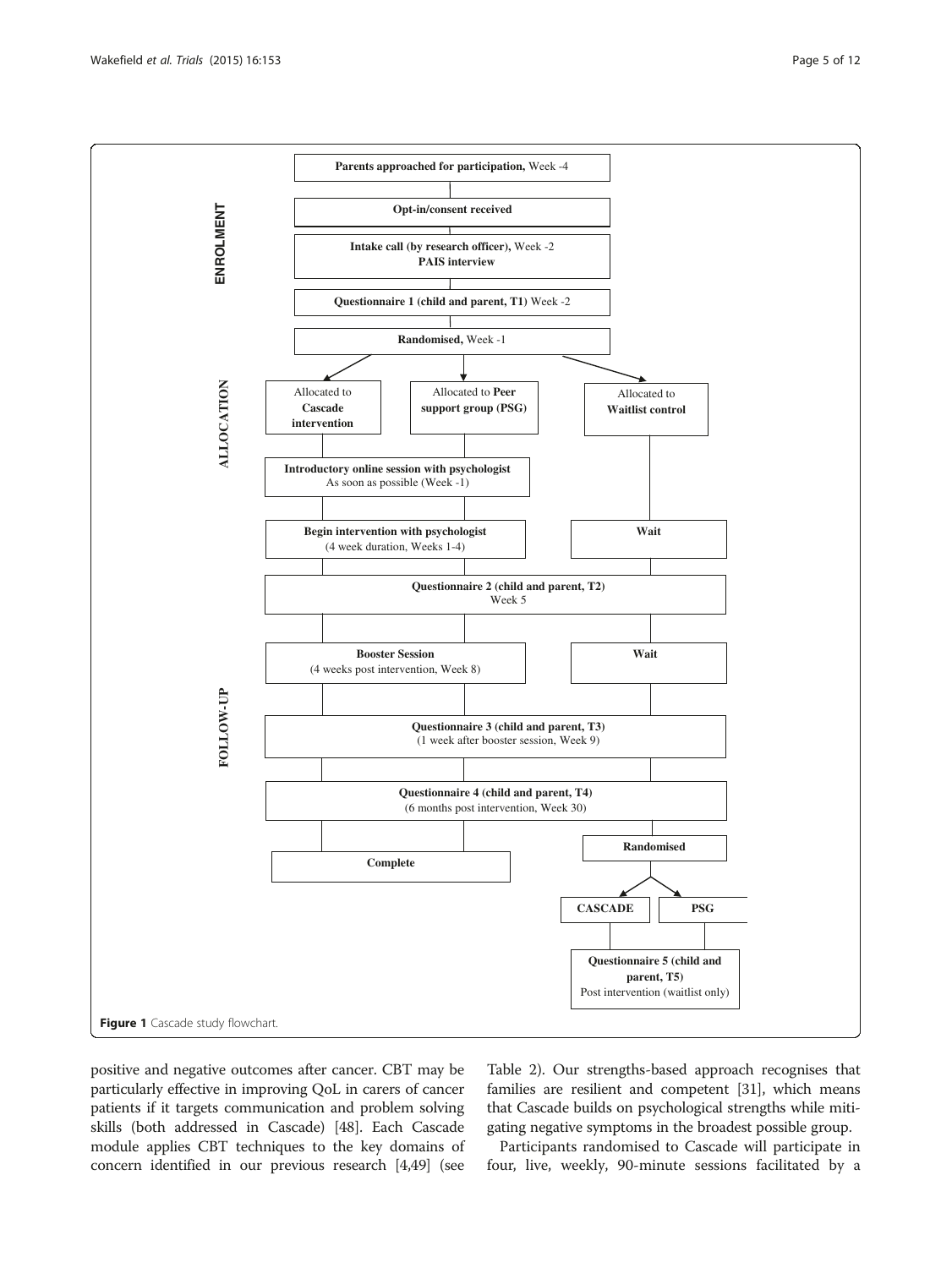<span id="page-4-0"></span>

positive and negative outcomes after cancer. CBT may be particularly effective in improving QoL in carers of cancer patients if it targets communication and problem solving skills (both addressed in Cascade) [\[48\]](#page-11-0). Each Cascade module applies CBT techniques to the key domains of concern identified in our previous research [\[4](#page-10-0)[,49\]](#page-11-0) (see

Table [2](#page-5-0)). Our strengths-based approach recognises that families are resilient and competent [\[31\]](#page-10-0), which means that Cascade builds on psychological strengths while mitigating negative symptoms in the broadest possible group.

Participants randomised to Cascade will participate in four, live, weekly, 90-minute sessions facilitated by a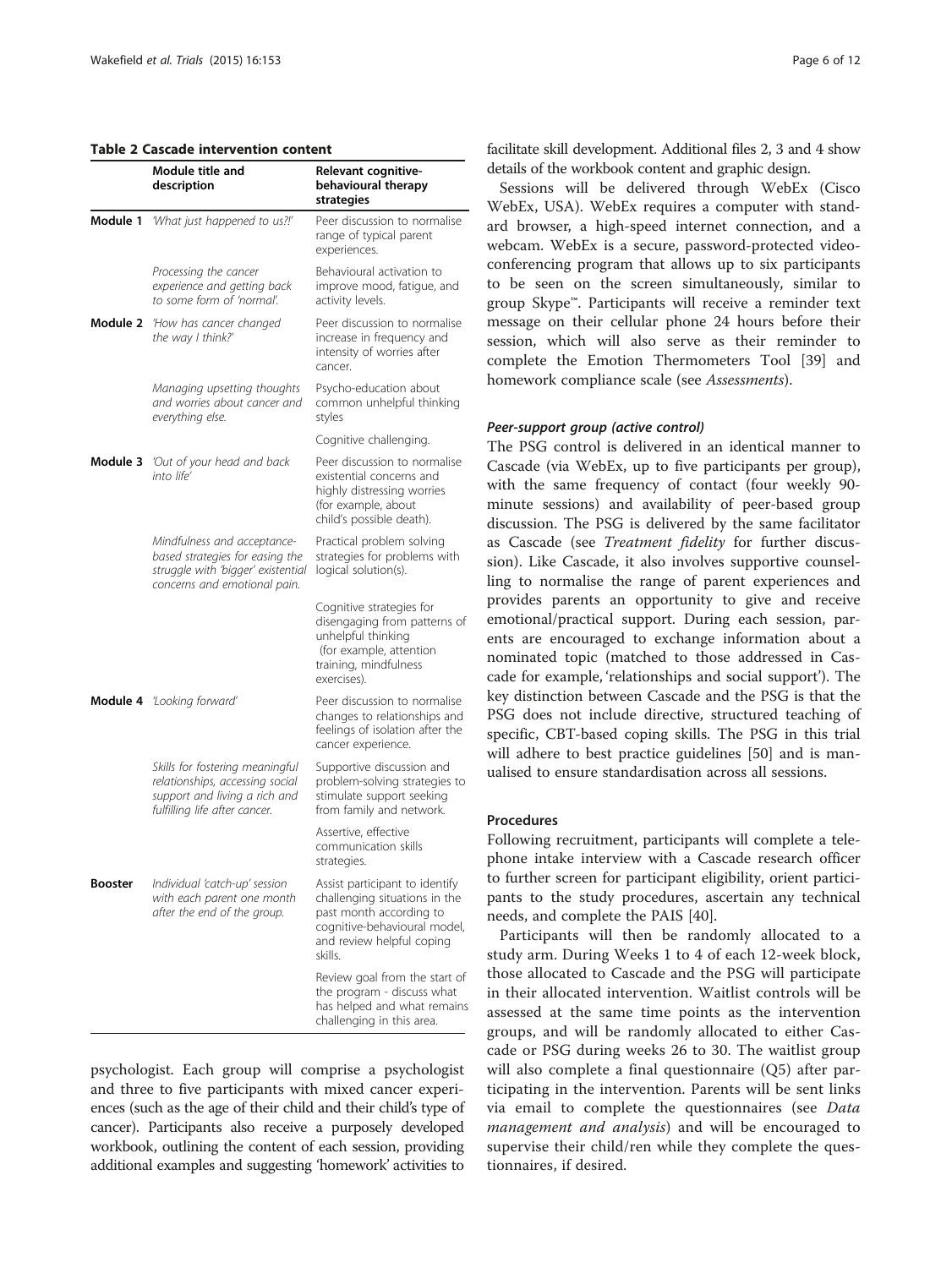#### <span id="page-5-0"></span>Table 2 Cascade intervention content

|                | Module title and<br>description                                                                                                      | Relevant cognitive-<br>behavioural therapy<br>strategies                                                                                                           |
|----------------|--------------------------------------------------------------------------------------------------------------------------------------|--------------------------------------------------------------------------------------------------------------------------------------------------------------------|
| Module 1       | 'What just happened to us?!'                                                                                                         | Peer discussion to normalise<br>range of typical parent<br>experiences.                                                                                            |
|                | Processing the cancer<br>experience and getting back<br>to some form of 'normal'.                                                    | Behavioural activation to<br>improve mood, fatigue, and<br>activity levels.                                                                                        |
| Module 2       | 'How has cancer changed<br>the way I think?'                                                                                         | Peer discussion to normalise<br>increase in frequency and<br>intensity of worries after<br>cancer.                                                                 |
|                | Managing upsetting thoughts<br>and worries about cancer and<br>everything else.                                                      | Psycho-education about<br>common unhelpful thinking<br>styles                                                                                                      |
|                |                                                                                                                                      | Cognitive challenging.                                                                                                                                             |
| Module 3       | 'Out of your head and back<br>into life'                                                                                             | Peer discussion to normalise<br>existential concerns and<br>highly distressing worries<br>(for example, about<br>child's possible death).                          |
|                | Mindfulness and acceptance-<br>based strategies for easing the<br>struggle with 'bigger' existential<br>concerns and emotional pain. | Practical problem solving<br>strategies for problems with<br>logical solution(s).                                                                                  |
|                |                                                                                                                                      | Cognitive strategies for<br>disengaging from patterns of<br>unhelpful thinking<br>(for example, attention<br>training, mindfulness<br>exercises).                  |
|                | <b>Module 4</b> Looking forward'                                                                                                     | Peer discussion to normalise<br>changes to relationships and<br>feelings of isolation after the<br>cancer experience.                                              |
|                | Skills for fostering meaningful<br>relationships, accessing social<br>support and living a rich and<br>fulfilling life after cancer. | Supportive discussion and<br>problem-solving strategies to<br>stimulate support seeking<br>from family and network.                                                |
|                |                                                                                                                                      | Assertive, effective<br>communication skills<br>strategies.                                                                                                        |
| <b>Booster</b> | Individual 'catch-up' session<br>with each parent one month<br>after the end of the group.                                           | Assist participant to identify<br>challenging situations in the<br>past month according to<br>cognitive-behavioural model,<br>and review helpful coping<br>skills. |
|                |                                                                                                                                      | Review goal from the start of<br>the program - discuss what<br>has helped and what remains<br>challenging in this area.                                            |

psychologist. Each group will comprise a psychologist and three to five participants with mixed cancer experiences (such as the age of their child and their child's type of cancer). Participants also receive a purposely developed workbook, outlining the content of each session, providing additional examples and suggesting 'homework' activities to facilitate skill development. Additional files [2, 3](#page-9-0) and [4](#page-9-0) show details of the workbook content and graphic design.

Sessions will be delivered through WebEx (Cisco WebEx, USA). WebEx requires a computer with standard browser, a high-speed internet connection, and a webcam. WebEx is a secure, password-protected videoconferencing program that allows up to six participants to be seen on the screen simultaneously, similar to group Skype™. Participants will receive a reminder text message on their cellular phone 24 hours before their session, which will also serve as their reminder to complete the Emotion Thermometers Tool [\[39](#page-10-0)] and homework compliance scale (see *[Assessments](#page-6-0)*).

#### Peer-support group (active control)

The PSG control is delivered in an identical manner to Cascade (via WebEx, up to five participants per group), with the same frequency of contact (four weekly 90 minute sessions) and availability of peer-based group discussion. The PSG is delivered by the same facilitator as Cascade (see [Treatment fidelity](#page-6-0) for further discussion). Like Cascade, it also involves supportive counselling to normalise the range of parent experiences and provides parents an opportunity to give and receive emotional/practical support. During each session, parents are encouraged to exchange information about a nominated topic (matched to those addressed in Cascade for example, 'relationships and social support'). The key distinction between Cascade and the PSG is that the PSG does not include directive, structured teaching of specific, CBT-based coping skills. The PSG in this trial will adhere to best practice guidelines [[50\]](#page-11-0) and is manualised to ensure standardisation across all sessions.

#### Procedures

Following recruitment, participants will complete a telephone intake interview with a Cascade research officer to further screen for participant eligibility, orient participants to the study procedures, ascertain any technical needs, and complete the PAIS [[40\]](#page-10-0).

Participants will then be randomly allocated to a study arm. During Weeks 1 to 4 of each 12-week block, those allocated to Cascade and the PSG will participate in their allocated intervention. Waitlist controls will be assessed at the same time points as the intervention groups, and will be randomly allocated to either Cascade or PSG during weeks 26 to 30. The waitlist group will also complete a final questionnaire (Q5) after participating in the intervention. Parents will be sent links via email to complete the questionnaires (see [Data](#page-8-0) [management and analysis](#page-8-0)) and will be encouraged to supervise their child/ren while they complete the questionnaires, if desired.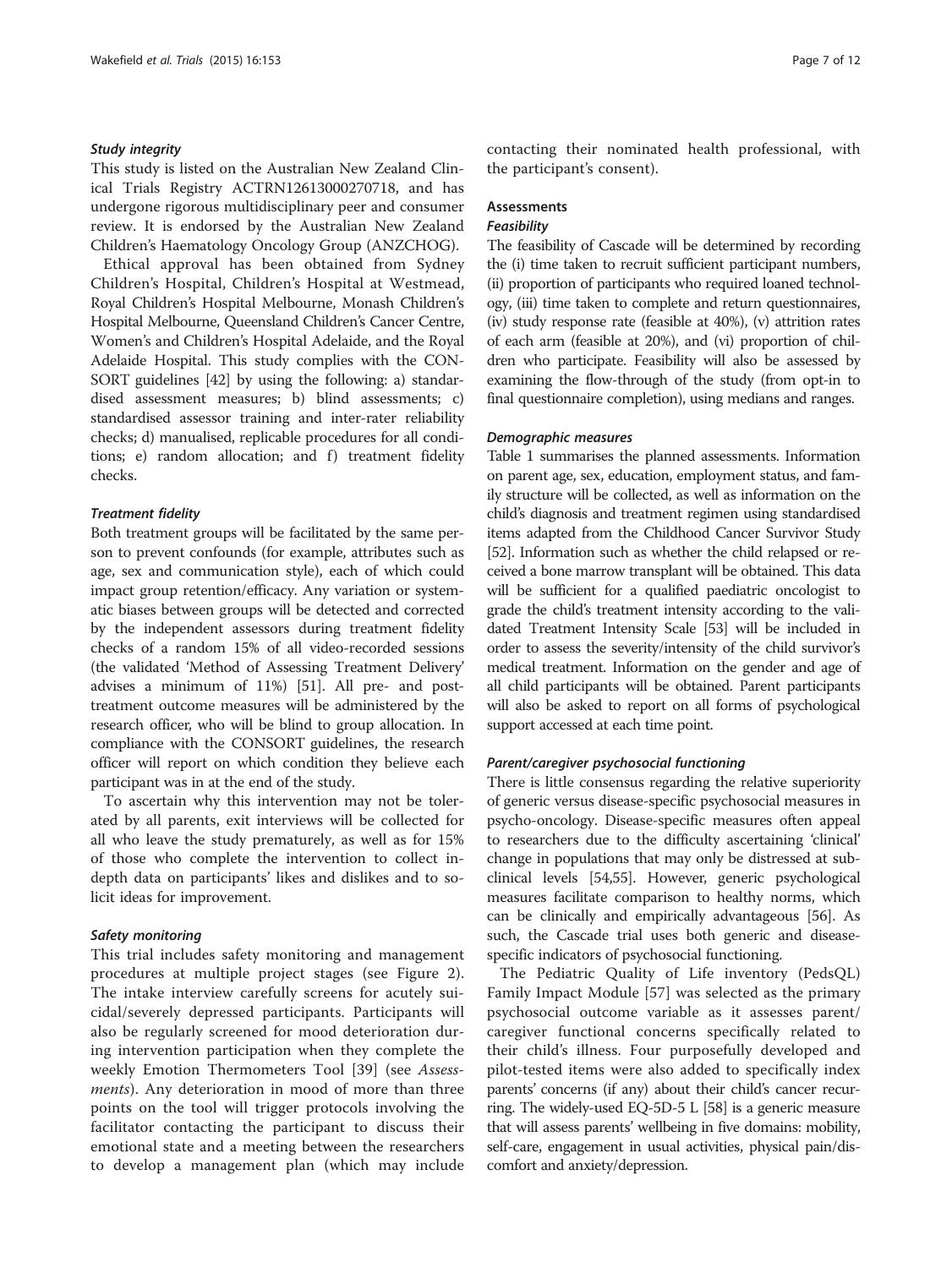#### <span id="page-6-0"></span>Study integrity

This study is listed on the Australian New Zealand Clinical Trials Registry ACTRN12613000270718, and has undergone rigorous multidisciplinary peer and consumer review. It is endorsed by the Australian New Zealand Children's Haematology Oncology Group (ANZCHOG).

Ethical approval has been obtained from Sydney Children's Hospital, Children's Hospital at Westmead, Royal Children's Hospital Melbourne, Monash Children's Hospital Melbourne, Queensland Children's Cancer Centre, Women's and Children's Hospital Adelaide, and the Royal Adelaide Hospital. This study complies with the CON-SORT guidelines [[42](#page-11-0)] by using the following: a) standardised assessment measures; b) blind assessments; c) standardised assessor training and inter-rater reliability checks; d) manualised, replicable procedures for all conditions; e) random allocation; and f) treatment fidelity checks.

#### Treatment fidelity

Both treatment groups will be facilitated by the same person to prevent confounds (for example, attributes such as age, sex and communication style), each of which could impact group retention/efficacy. Any variation or systematic biases between groups will be detected and corrected by the independent assessors during treatment fidelity checks of a random 15% of all video-recorded sessions (the validated 'Method of Assessing Treatment Delivery' advises a minimum of 11%) [[51](#page-11-0)]. All pre- and posttreatment outcome measures will be administered by the research officer, who will be blind to group allocation. In compliance with the CONSORT guidelines, the research officer will report on which condition they believe each participant was in at the end of the study.

To ascertain why this intervention may not be tolerated by all parents, exit interviews will be collected for all who leave the study prematurely, as well as for 15% of those who complete the intervention to collect indepth data on participants' likes and dislikes and to solicit ideas for improvement.

#### Safety monitoring

This trial includes safety monitoring and management procedures at multiple project stages (see Figure [2](#page-7-0)). The intake interview carefully screens for acutely suicidal/severely depressed participants. Participants will also be regularly screened for mood deterioration during intervention participation when they complete the weekly Emotion Thermometers Tool [\[39](#page-10-0)] (see Assess*ments*). Any deterioration in mood of more than three points on the tool will trigger protocols involving the facilitator contacting the participant to discuss their emotional state and a meeting between the researchers to develop a management plan (which may include contacting their nominated health professional, with the participant's consent).

## Assessments

#### **Feasibility**

The feasibility of Cascade will be determined by recording the (i) time taken to recruit sufficient participant numbers, (ii) proportion of participants who required loaned technology, (iii) time taken to complete and return questionnaires, (iv) study response rate (feasible at 40%), (v) attrition rates of each arm (feasible at 20%), and (vi) proportion of children who participate. Feasibility will also be assessed by examining the flow-through of the study (from opt-in to final questionnaire completion), using medians and ranges.

#### Demographic measures

Table [1](#page-2-0) summarises the planned assessments. Information on parent age, sex, education, employment status, and family structure will be collected, as well as information on the child's diagnosis and treatment regimen using standardised items adapted from the Childhood Cancer Survivor Study [[52](#page-11-0)]. Information such as whether the child relapsed or received a bone marrow transplant will be obtained. This data will be sufficient for a qualified paediatric oncologist to grade the child's treatment intensity according to the validated Treatment Intensity Scale [\[53\]](#page-11-0) will be included in order to assess the severity/intensity of the child survivor's medical treatment. Information on the gender and age of all child participants will be obtained. Parent participants will also be asked to report on all forms of psychological support accessed at each time point.

#### Parent/caregiver psychosocial functioning

There is little consensus regarding the relative superiority of generic versus disease-specific psychosocial measures in psycho-oncology. Disease-specific measures often appeal to researchers due to the difficulty ascertaining 'clinical' change in populations that may only be distressed at subclinical levels [[54,55\]](#page-11-0). However, generic psychological measures facilitate comparison to healthy norms, which can be clinically and empirically advantageous [\[56\]](#page-11-0). As such, the Cascade trial uses both generic and diseasespecific indicators of psychosocial functioning.

The Pediatric Quality of Life inventory (PedsQL) Family Impact Module [[57\]](#page-11-0) was selected as the primary psychosocial outcome variable as it assesses parent/ caregiver functional concerns specifically related to their child's illness. Four purposefully developed and pilot-tested items were also added to specifically index parents' concerns (if any) about their child's cancer recurring. The widely-used EQ-5D-5 L [\[58](#page-11-0)] is a generic measure that will assess parents' wellbeing in five domains: mobility, self-care, engagement in usual activities, physical pain/discomfort and anxiety/depression.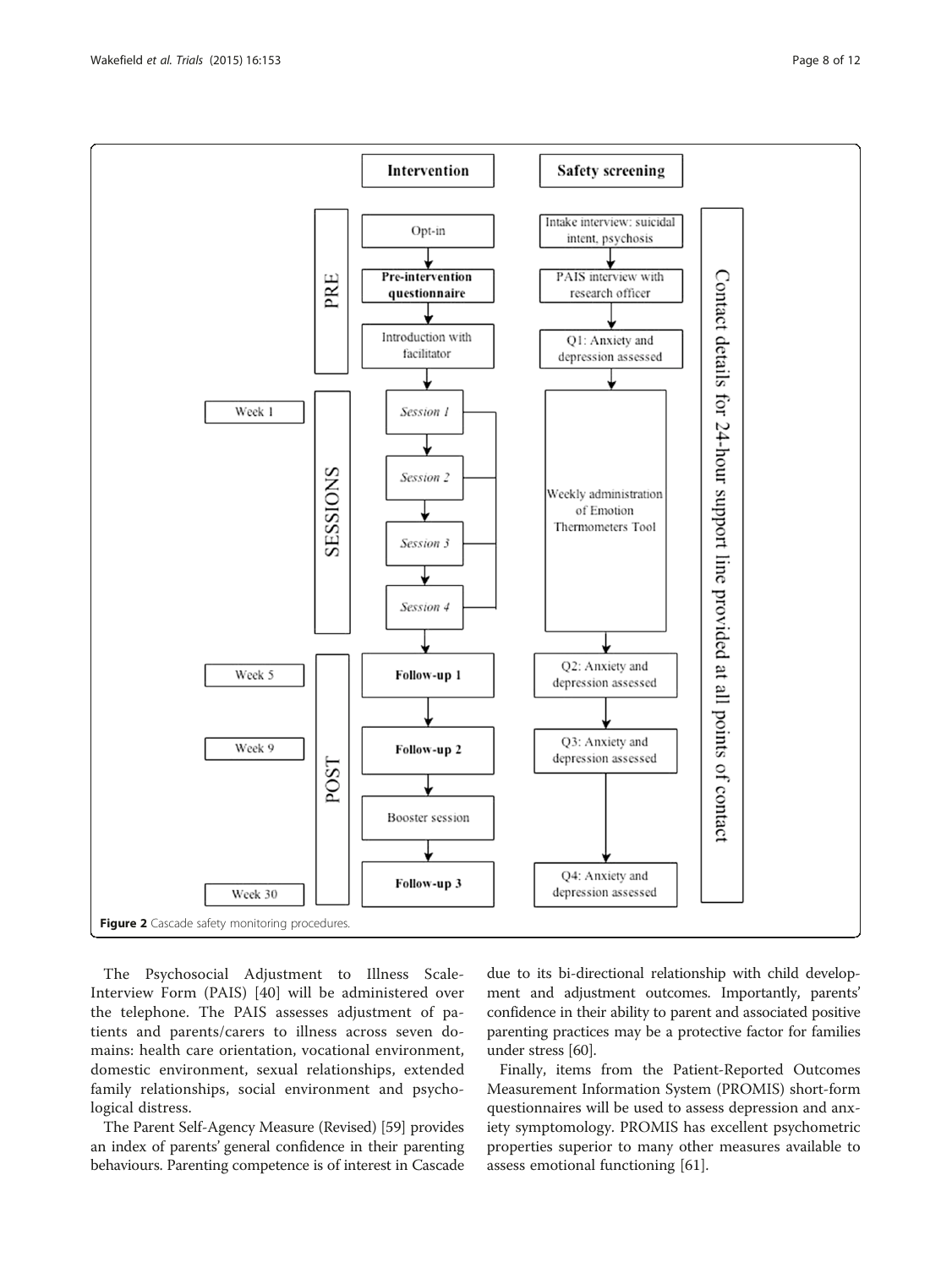<span id="page-7-0"></span>

The Psychosocial Adjustment to Illness Scale-Interview Form (PAIS) [[40\]](#page-10-0) will be administered over the telephone. The PAIS assesses adjustment of patients and parents/carers to illness across seven domains: health care orientation, vocational environment, domestic environment, sexual relationships, extended family relationships, social environment and psychological distress.

The Parent Self-Agency Measure (Revised) [\[59](#page-11-0)] provides an index of parents' general confidence in their parenting behaviours. Parenting competence is of interest in Cascade

due to its bi-directional relationship with child development and adjustment outcomes. Importantly, parents' confidence in their ability to parent and associated positive parenting practices may be a protective factor for families under stress [[60](#page-11-0)].

Finally, items from the Patient-Reported Outcomes Measurement Information System (PROMIS) short-form questionnaires will be used to assess depression and anxiety symptomology. PROMIS has excellent psychometric properties superior to many other measures available to assess emotional functioning [[61](#page-11-0)].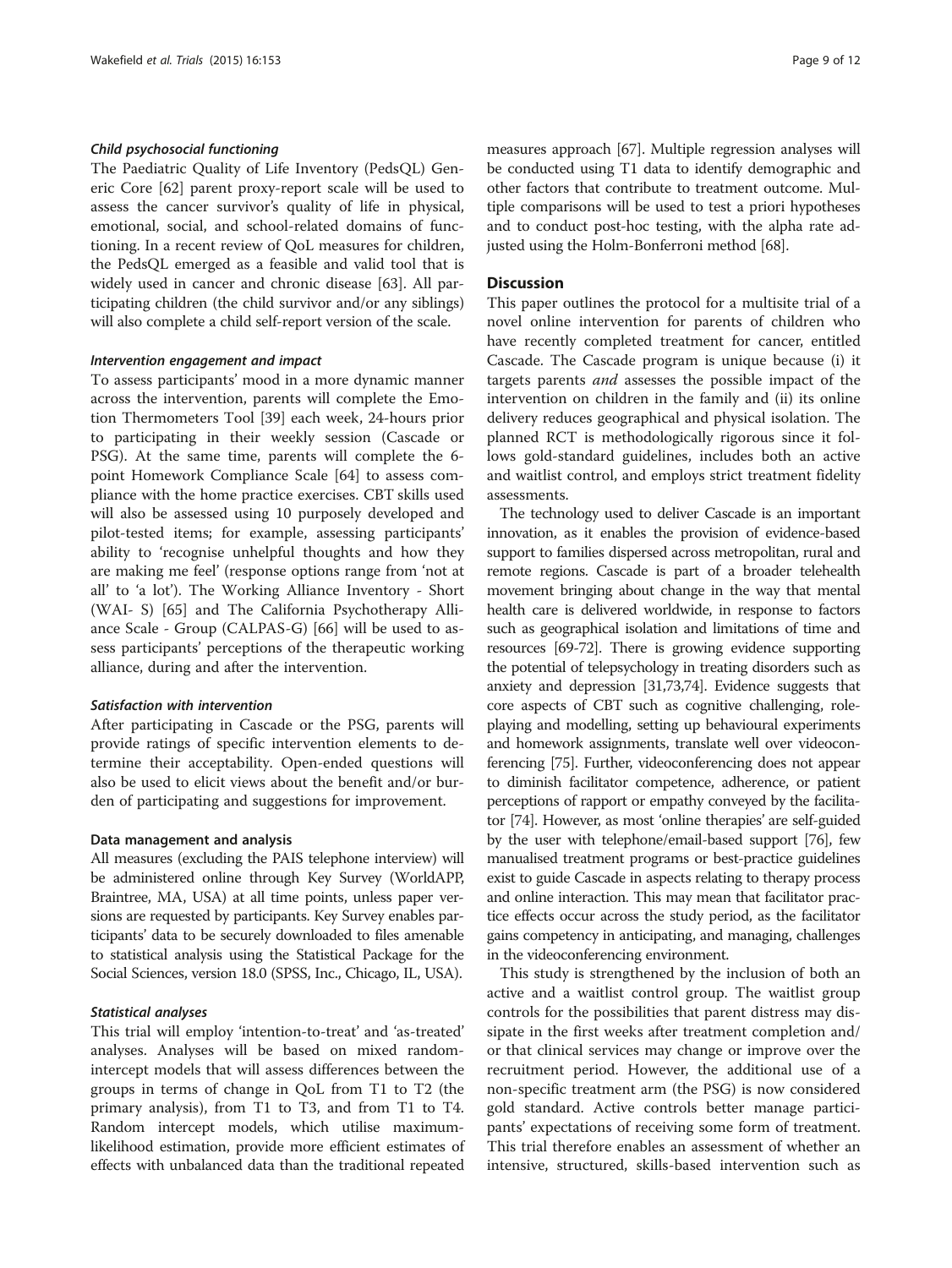#### <span id="page-8-0"></span>Child psychosocial functioning

The Paediatric Quality of Life Inventory (PedsQL) Generic Core [\[62](#page-11-0)] parent proxy-report scale will be used to assess the cancer survivor's quality of life in physical, emotional, social, and school-related domains of functioning. In a recent review of QoL measures for children, the PedsQL emerged as a feasible and valid tool that is widely used in cancer and chronic disease [\[63](#page-11-0)]. All participating children (the child survivor and/or any siblings) will also complete a child self-report version of the scale.

#### Intervention engagement and impact

To assess participants' mood in a more dynamic manner across the intervention, parents will complete the Emotion Thermometers Tool [[39\]](#page-10-0) each week, 24-hours prior to participating in their weekly session (Cascade or PSG). At the same time, parents will complete the 6 point Homework Compliance Scale [\[64](#page-11-0)] to assess compliance with the home practice exercises. CBT skills used will also be assessed using 10 purposely developed and pilot-tested items; for example, assessing participants' ability to 'recognise unhelpful thoughts and how they are making me feel' (response options range from 'not at all' to 'a lot'). The Working Alliance Inventory - Short (WAI- S) [\[65](#page-11-0)] and The California Psychotherapy Alliance Scale - Group (CALPAS-G) [[66\]](#page-11-0) will be used to assess participants' perceptions of the therapeutic working alliance, during and after the intervention.

#### Satisfaction with intervention

After participating in Cascade or the PSG, parents will provide ratings of specific intervention elements to determine their acceptability. Open-ended questions will also be used to elicit views about the benefit and/or burden of participating and suggestions for improvement.

#### Data management and analysis

All measures (excluding the PAIS telephone interview) will be administered online through Key Survey (WorldAPP, Braintree, MA, USA) at all time points, unless paper versions are requested by participants. Key Survey enables participants' data to be securely downloaded to files amenable to statistical analysis using the Statistical Package for the Social Sciences, version 18.0 (SPSS, Inc., Chicago, IL, USA).

#### Statistical analyses

This trial will employ 'intention-to-treat' and 'as-treated' analyses. Analyses will be based on mixed randomintercept models that will assess differences between the groups in terms of change in QoL from T1 to T2 (the primary analysis), from T1 to T3, and from T1 to T4. Random intercept models, which utilise maximumlikelihood estimation, provide more efficient estimates of effects with unbalanced data than the traditional repeated

measures approach [[67](#page-11-0)]. Multiple regression analyses will be conducted using T1 data to identify demographic and other factors that contribute to treatment outcome. Multiple comparisons will be used to test a priori hypotheses and to conduct post-hoc testing, with the alpha rate adjusted using the Holm-Bonferroni method [\[68\]](#page-11-0).

#### **Discussion**

This paper outlines the protocol for a multisite trial of a novel online intervention for parents of children who have recently completed treatment for cancer, entitled Cascade. The Cascade program is unique because (i) it targets parents and assesses the possible impact of the intervention on children in the family and (ii) its online delivery reduces geographical and physical isolation. The planned RCT is methodologically rigorous since it follows gold-standard guidelines, includes both an active and waitlist control, and employs strict treatment fidelity assessments.

The technology used to deliver Cascade is an important innovation, as it enables the provision of evidence-based support to families dispersed across metropolitan, rural and remote regions. Cascade is part of a broader telehealth movement bringing about change in the way that mental health care is delivered worldwide, in response to factors such as geographical isolation and limitations of time and resources [\[69-72\]](#page-11-0). There is growing evidence supporting the potential of telepsychology in treating disorders such as anxiety and depression [\[31,](#page-10-0)[73,74\]](#page-11-0). Evidence suggests that core aspects of CBT such as cognitive challenging, roleplaying and modelling, setting up behavioural experiments and homework assignments, translate well over videoconferencing [\[75\]](#page-11-0). Further, videoconferencing does not appear to diminish facilitator competence, adherence, or patient perceptions of rapport or empathy conveyed by the facilitator [\[74\]](#page-11-0). However, as most 'online therapies' are self-guided by the user with telephone/email-based support [\[76\]](#page-11-0), few manualised treatment programs or best-practice guidelines exist to guide Cascade in aspects relating to therapy process and online interaction. This may mean that facilitator practice effects occur across the study period, as the facilitator gains competency in anticipating, and managing, challenges in the videoconferencing environment.

This study is strengthened by the inclusion of both an active and a waitlist control group. The waitlist group controls for the possibilities that parent distress may dissipate in the first weeks after treatment completion and/ or that clinical services may change or improve over the recruitment period. However, the additional use of a non-specific treatment arm (the PSG) is now considered gold standard. Active controls better manage participants' expectations of receiving some form of treatment. This trial therefore enables an assessment of whether an intensive, structured, skills-based intervention such as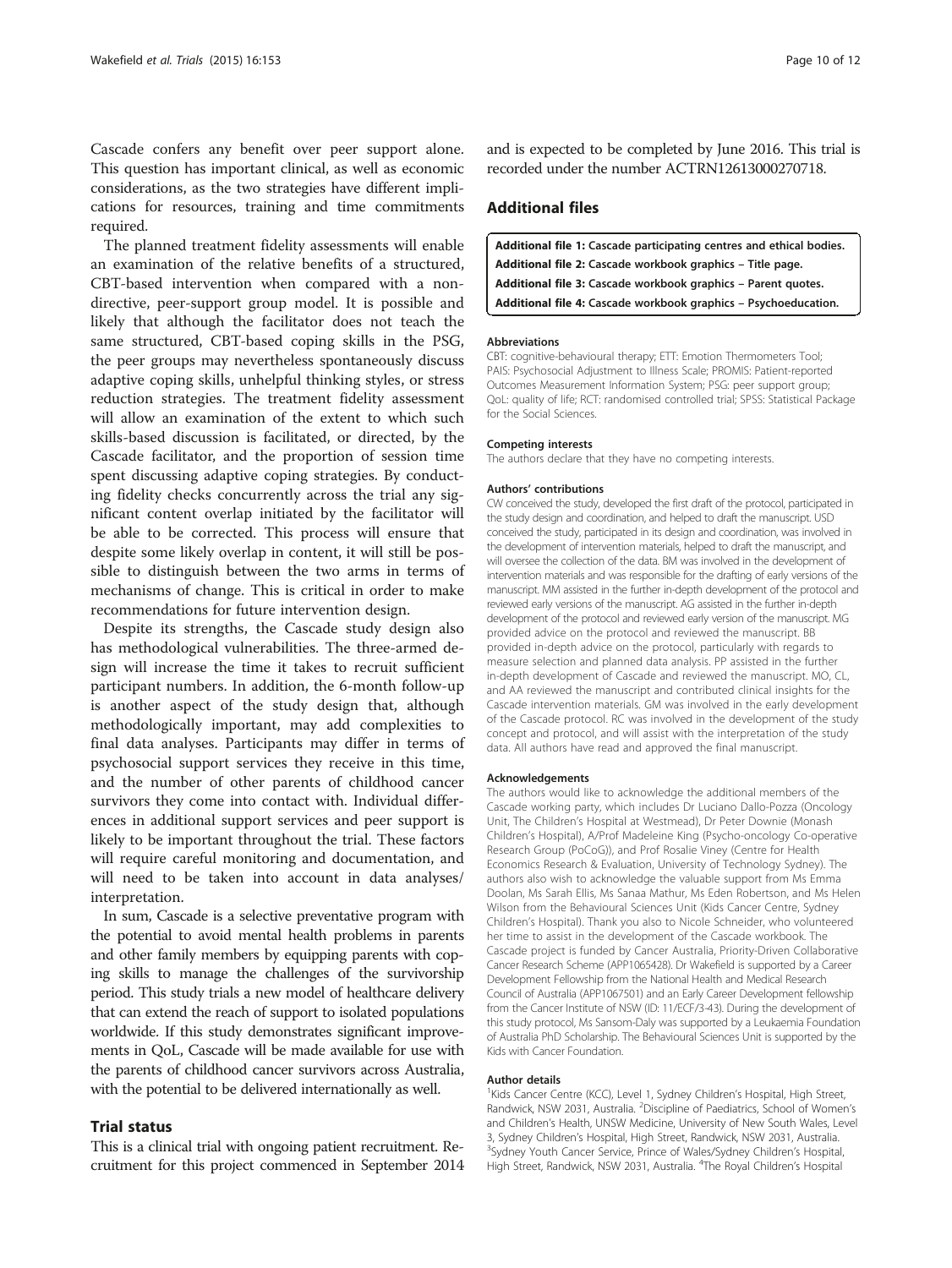<span id="page-9-0"></span>Cascade confers any benefit over peer support alone. This question has important clinical, as well as economic considerations, as the two strategies have different implications for resources, training and time commitments required.

The planned treatment fidelity assessments will enable an examination of the relative benefits of a structured, CBT-based intervention when compared with a nondirective, peer-support group model. It is possible and likely that although the facilitator does not teach the same structured, CBT-based coping skills in the PSG, the peer groups may nevertheless spontaneously discuss adaptive coping skills, unhelpful thinking styles, or stress reduction strategies. The treatment fidelity assessment will allow an examination of the extent to which such skills-based discussion is facilitated, or directed, by the Cascade facilitator, and the proportion of session time spent discussing adaptive coping strategies. By conducting fidelity checks concurrently across the trial any significant content overlap initiated by the facilitator will be able to be corrected. This process will ensure that despite some likely overlap in content, it will still be possible to distinguish between the two arms in terms of mechanisms of change. This is critical in order to make recommendations for future intervention design.

Despite its strengths, the Cascade study design also has methodological vulnerabilities. The three-armed design will increase the time it takes to recruit sufficient participant numbers. In addition, the 6-month follow-up is another aspect of the study design that, although methodologically important, may add complexities to final data analyses. Participants may differ in terms of psychosocial support services they receive in this time, and the number of other parents of childhood cancer survivors they come into contact with. Individual differences in additional support services and peer support is likely to be important throughout the trial. These factors will require careful monitoring and documentation, and will need to be taken into account in data analyses/ interpretation.

In sum, Cascade is a selective preventative program with the potential to avoid mental health problems in parents and other family members by equipping parents with coping skills to manage the challenges of the survivorship period. This study trials a new model of healthcare delivery that can extend the reach of support to isolated populations worldwide. If this study demonstrates significant improvements in QoL, Cascade will be made available for use with the parents of childhood cancer survivors across Australia, with the potential to be delivered internationally as well.

#### Trial status

This is a clinical trial with ongoing patient recruitment. Recruitment for this project commenced in September 2014 and is expected to be completed by June 2016. This trial is recorded under the number ACTRN12613000270718.

## Additional files

| Additional file 1: Cascade participating centres and ethical bodies. |
|----------------------------------------------------------------------|
| Additional file 2: Cascade workbook graphics - Title page.           |
| Additional file 3: Cascade workbook graphics - Parent guotes.        |
| Additional file 4: Cascade workbook graphics - Psychoeducation.      |

#### Abbreviations

CBT: cognitive-behavioural therapy; ETT: Emotion Thermometers Tool; PAIS: Psychosocial Adjustment to Illness Scale; PROMIS: Patient-reported Outcomes Measurement Information System; PSG: peer support group; QoL: quality of life; RCT: randomised controlled trial; SPSS: Statistical Package for the Social Sciences.

#### Competing interests

The authors declare that they have no competing interests.

#### Authors' contributions

CW conceived the study, developed the first draft of the protocol, participated in the study design and coordination, and helped to draft the manuscript. USD conceived the study, participated in its design and coordination, was involved in the development of intervention materials, helped to draft the manuscript, and will oversee the collection of the data. BM was involved in the development of intervention materials and was responsible for the drafting of early versions of the manuscript. MM assisted in the further in-depth development of the protocol and reviewed early versions of the manuscript. AG assisted in the further in-depth development of the protocol and reviewed early version of the manuscript. MG provided advice on the protocol and reviewed the manuscript. BB provided in-depth advice on the protocol, particularly with regards to measure selection and planned data analysis. PP assisted in the further in-depth development of Cascade and reviewed the manuscript. MO, CL, and AA reviewed the manuscript and contributed clinical insights for the Cascade intervention materials. GM was involved in the early development of the Cascade protocol. RC was involved in the development of the study concept and protocol, and will assist with the interpretation of the study data. All authors have read and approved the final manuscript.

#### Acknowledgements

The authors would like to acknowledge the additional members of the Cascade working party, which includes Dr Luciano Dallo-Pozza (Oncology Unit, The Children's Hospital at Westmead), Dr Peter Downie (Monash Children's Hospital), A/Prof Madeleine King (Psycho-oncology Co-operative Research Group (PoCoG)), and Prof Rosalie Viney (Centre for Health Economics Research & Evaluation, University of Technology Sydney). The authors also wish to acknowledge the valuable support from Ms Emma Doolan, Ms Sarah Ellis, Ms Sanaa Mathur, Ms Eden Robertson, and Ms Helen Wilson from the Behavioural Sciences Unit (Kids Cancer Centre, Sydney Children's Hospital). Thank you also to Nicole Schneider, who volunteered her time to assist in the development of the Cascade workbook. The Cascade project is funded by Cancer Australia, Priority-Driven Collaborative Cancer Research Scheme (APP1065428). Dr Wakefield is supported by a Career Development Fellowship from the National Health and Medical Research Council of Australia (APP1067501) and an Early Career Development fellowship from the Cancer Institute of NSW (ID: 11/ECF/3-43). During the development of this study protocol, Ms Sansom-Daly was supported by a Leukaemia Foundation of Australia PhD Scholarship. The Behavioural Sciences Unit is supported by the Kids with Cancer Foundation.

#### Author details

<sup>1</sup>Kids Cancer Centre (KCC), Level 1, Sydney Children's Hospital, High Street, Randwick, NSW 2031, Australia. <sup>2</sup>Discipline of Paediatrics, School of Women's and Children's Health, UNSW Medicine, University of New South Wales, Level 3, Sydney Children's Hospital, High Street, Randwick, NSW 2031, Australia. Sydney Youth Cancer Service, Prince of Wales/Sydney Children's Hospital, High Street, Randwick, NSW 2031, Australia. <sup>4</sup>The Royal Children's Hospital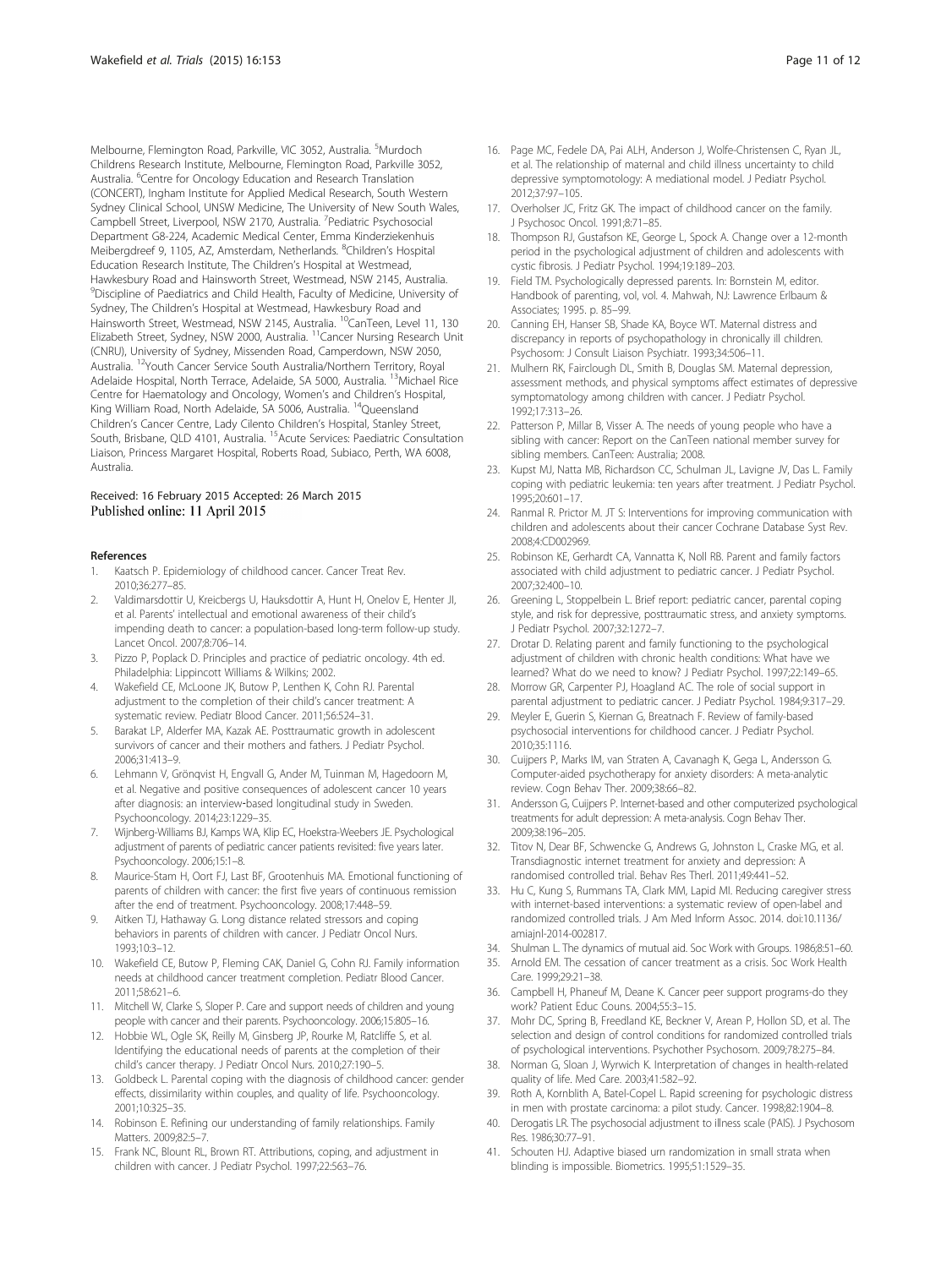<span id="page-10-0"></span>Melbourne, Flemington Road, Parkville, VIC 3052, Australia. <sup>5</sup>Murdoch Childrens Research Institute, Melbourne, Flemington Road, Parkville 3052, Australia. <sup>6</sup>Centre for Oncology Education and Research Translation (CONCERT), Ingham Institute for Applied Medical Research, South Western Sydney Clinical School, UNSW Medicine, The University of New South Wales, Campbell Street, Liverpool, NSW 2170, Australia. <sup>7</sup> Pediatric Psychosocial Department G8-224, Academic Medical Center, Emma Kinderziekenhuis Meibergdreef 9, 1105, AZ, Amsterdam, Netherlands. <sup>8</sup>Children's Hospital Education Research Institute, The Children's Hospital at Westmead, Hawkesbury Road and Hainsworth Street, Westmead, NSW 2145, Australia. <sup>9</sup>Discipline of Paediatrics and Child Health, Faculty of Medicine, University of Sydney, The Children's Hospital at Westmead, Hawkesbury Road and Hainsworth Street, Westmead, NSW 2145, Australia. <sup>10</sup>CanTeen, Level 11, 130 Elizabeth Street, Sydney, NSW 2000, Australia. 11Cancer Nursing Research Unit (CNRU), University of Sydney, Missenden Road, Camperdown, NSW 2050, Australia. 12Youth Cancer Service South Australia/Northern Territory, Royal Adelaide Hospital, North Terrace, Adelaide, SA 5000, Australia. 13Michael Rice Centre for Haematology and Oncology, Women's and Children's Hospital, King William Road, North Adelaide, SA 5006, Australia. 14Queensland Children's Cancer Centre, Lady Cilento Children's Hospital, Stanley Street, South, Brisbane, QLD 4101, Australia. 15Acute Services: Paediatric Consultation Liaison, Princess Margaret Hospital, Roberts Road, Subiaco, Perth, WA 6008, Australia.

#### Received: 16 February 2015 Accepted: 26 March 2015 Published online: 11 April 2015

#### References

- Kaatsch P. Epidemiology of childhood cancer. Cancer Treat Rev. 2010;36:277–85.
- 2. Valdimarsdottir U, Kreicbergs U, Hauksdottir A, Hunt H, Onelov E, Henter JI, et al. Parents' intellectual and emotional awareness of their child's impending death to cancer: a population-based long-term follow-up study. Lancet Oncol. 2007;8:706–14.
- 3. Pizzo P, Poplack D. Principles and practice of pediatric oncology. 4th ed. Philadelphia: Lippincott Williams & Wilkins; 2002.
- 4. Wakefield CE, McLoone JK, Butow P, Lenthen K, Cohn RJ. Parental adjustment to the completion of their child's cancer treatment: A systematic review. Pediatr Blood Cancer. 2011;56:524–31.
- 5. Barakat LP, Alderfer MA, Kazak AE. Posttraumatic growth in adolescent survivors of cancer and their mothers and fathers. J Pediatr Psychol. 2006;31:413–9.
- 6. Lehmann V, Grönqvist H, Engvall G, Ander M, Tuinman M, Hagedoorn M, et al. Negative and positive consequences of adolescent cancer 10 years after diagnosis: an interview‐based longitudinal study in Sweden. Psychooncology. 2014;23:1229–35.
- 7. Wijnberg-Williams BJ, Kamps WA, Klip EC, Hoekstra-Weebers JE. Psychological adjustment of parents of pediatric cancer patients revisited: five years later. Psychooncology. 2006;15:1–8.
- 8. Maurice-Stam H, Oort FJ, Last BF, Grootenhuis MA. Emotional functioning of parents of children with cancer: the first five years of continuous remission after the end of treatment. Psychooncology. 2008;17:448–59.
- 9. Aitken TJ, Hathaway G. Long distance related stressors and coping behaviors in parents of children with cancer. J Pediatr Oncol Nurs. 1993;10:3–12.
- 10. Wakefield CE, Butow P, Fleming CAK, Daniel G, Cohn RJ. Family information needs at childhood cancer treatment completion. Pediatr Blood Cancer. 2011;58:621–6.
- 11. Mitchell W, Clarke S, Sloper P. Care and support needs of children and young people with cancer and their parents. Psychooncology. 2006;15:805–16.
- 12. Hobbie WL, Ogle SK, Reilly M, Ginsberg JP, Rourke M, Ratcliffe S, et al. Identifying the educational needs of parents at the completion of their child's cancer therapy. J Pediatr Oncol Nurs. 2010;27:190–5.
- 13. Goldbeck L. Parental coping with the diagnosis of childhood cancer: gender effects, dissimilarity within couples, and quality of life. Psychooncology. 2001;10:325–35.
- 14. Robinson E. Refining our understanding of family relationships. Family Matters. 2009;82:5–7.
- 15. Frank NC, Blount RL, Brown RT. Attributions, coping, and adjustment in children with cancer. J Pediatr Psychol. 1997;22:563–76.
- 16. Page MC, Fedele DA, Pai ALH, Anderson J, Wolfe-Christensen C, Ryan JL, et al. The relationship of maternal and child illness uncertainty to child depressive symptomotology: A mediational model. J Pediatr Psychol. 2012;37:97–105.
- 17. Overholser JC, Fritz GK. The impact of childhood cancer on the family. J Psychosoc Oncol. 1991;8:71–85.
- 18. Thompson RJ, Gustafson KE, George L, Spock A. Change over a 12-month period in the psychological adjustment of children and adolescents with cystic fibrosis. J Pediatr Psychol. 1994;19:189–203.
- 19. Field TM. Psychologically depressed parents. In: Bornstein M, editor. Handbook of parenting, vol, vol. 4. Mahwah, NJ: Lawrence Erlbaum & Associates; 1995. p. 85–99.
- 20. Canning EH, Hanser SB, Shade KA, Boyce WT. Maternal distress and discrepancy in reports of psychopathology in chronically ill children. Psychosom: J Consult Liaison Psychiatr. 1993;34:506–11.
- 21. Mulhern RK, Fairclough DL, Smith B, Douglas SM. Maternal depression, assessment methods, and physical symptoms affect estimates of depressive symptomatology among children with cancer. J Pediatr Psychol. 1992;17:313–26.
- 22. Patterson P, Millar B, Visser A. The needs of young people who have a sibling with cancer: Report on the CanTeen national member survey for sibling members. CanTeen: Australia; 2008.
- 23. Kupst MJ, Natta MB, Richardson CC, Schulman JL, Lavigne JV, Das L. Family coping with pediatric leukemia: ten years after treatment. J Pediatr Psychol. 1995;20:601–17.
- 24. Ranmal R. Prictor M. JT S: Interventions for improving communication with children and adolescents about their cancer Cochrane Database Syst Rev. 2008;4:CD002969.
- 25. Robinson KE, Gerhardt CA, Vannatta K, Noll RB. Parent and family factors associated with child adjustment to pediatric cancer. J Pediatr Psychol. 2007;32:400–10.
- 26. Greening L, Stoppelbein L. Brief report: pediatric cancer, parental coping style, and risk for depressive, posttraumatic stress, and anxiety symptoms. J Pediatr Psychol. 2007;32:1272–7.
- 27. Drotar D. Relating parent and family functioning to the psychological adjustment of children with chronic health conditions: What have we learned? What do we need to know? J Pediatr Psychol. 1997;22:149–65.
- 28. Morrow GR, Carpenter PJ, Hoagland AC. The role of social support in parental adjustment to pediatric cancer. J Pediatr Psychol. 1984;9:317–29.
- 29. Meyler E, Guerin S, Kiernan G, Breatnach F. Review of family-based psychosocial interventions for childhood cancer. J Pediatr Psychol. 2010;35:1116.
- 30. Cuijpers P, Marks IM, van Straten A, Cavanagh K, Gega L, Andersson G. Computer-aided psychotherapy for anxiety disorders: A meta-analytic review. Cogn Behav Ther. 2009;38:66–82.
- 31. Andersson G, Cuijpers P. Internet-based and other computerized psychological treatments for adult depression: A meta-analysis. Cogn Behav Ther. 2009;38:196–205.
- 32. Titov N, Dear BF, Schwencke G, Andrews G, Johnston L, Craske MG, et al. Transdiagnostic internet treatment for anxiety and depression: A randomised controlled trial. Behav Res Therl. 2011;49:441–52.
- 33. Hu C, Kung S, Rummans TA, Clark MM, Lapid MI. Reducing caregiver stress with internet-based interventions: a systematic review of open-label and randomized controlled trials. J Am Med Inform Assoc. 2014. doi:10.1136/ amiajnl-2014-002817.
- 34. Shulman L. The dynamics of mutual aid. Soc Work with Groups. 1986;8:51–60.
- 35. Arnold EM. The cessation of cancer treatment as a crisis. Soc Work Health Care. 1999;29:21–38.
- 36. Campbell H, Phaneuf M, Deane K. Cancer peer support programs-do they work? Patient Educ Couns. 2004;55:3–15.
- 37. Mohr DC, Spring B, Freedland KE, Beckner V, Arean P, Hollon SD, et al. The selection and design of control conditions for randomized controlled trials of psychological interventions. Psychother Psychosom. 2009;78:275–84.
- 38. Norman G, Sloan J, Wyrwich K. Interpretation of changes in health-related quality of life. Med Care. 2003;41:582–92.
- 39. Roth A, Kornblith A, Batel-Copel L. Rapid screening for psychologic distress in men with prostate carcinoma: a pilot study. Cancer. 1998;82:1904–8.
- 40. Derogatis LR. The psychosocial adjustment to illness scale (PAIS). J Psychosom Res. 1986;30:77–91.
- 41. Schouten HJ. Adaptive biased urn randomization in small strata when blinding is impossible. Biometrics. 1995;51:1529–35.